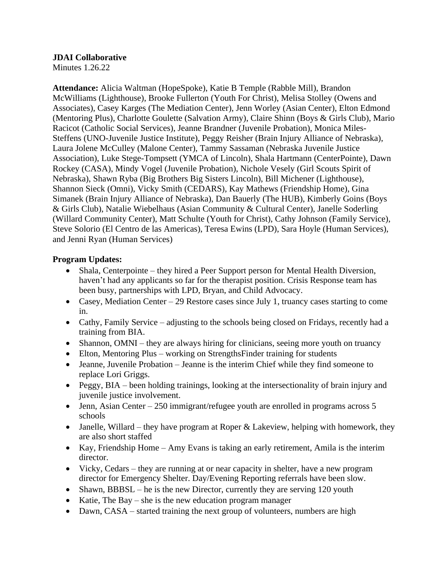#### **JDAI Collaborative**

Minutes 1.26.22

**Attendance:** Alicia Waltman (HopeSpoke), Katie B Temple (Rabble Mill), Brandon McWilliams (Lighthouse), Brooke Fullerton (Youth For Christ), Melisa Stolley (Owens and Associates), Casey Karges (The Mediation Center), Jenn Worley (Asian Center), Elton Edmond (Mentoring Plus), Charlotte Goulette (Salvation Army), Claire Shinn (Boys & Girls Club), Mario Racicot (Catholic Social Services), Jeanne Brandner (Juvenile Probation), Monica Miles-Steffens (UNO-Juvenile Justice Institute), Peggy Reisher (Brain Injury Alliance of Nebraska), Laura Jolene McCulley (Malone Center), Tammy Sassaman (Nebraska Juvenile Justice Association), Luke Stege-Tompsett (YMCA of Lincoln), Shala Hartmann (CenterPointe), Dawn Rockey (CASA), Mindy Vogel (Juvenile Probation), Nichole Vesely (Girl Scouts Spirit of Nebraska), Shawn Ryba (Big Brothers Big Sisters Lincoln), Bill Michener (Lighthouse), Shannon Sieck (Omni), Vicky Smith (CEDARS), Kay Mathews (Friendship Home), Gina Simanek (Brain Injury Alliance of Nebraska), Dan Bauerly (The HUB), Kimberly Goins (Boys & Girls Club), Natalie Wiebelhaus (Asian Community & Cultural Center), Janelle Soderling (Willard Community Center), Matt Schulte (Youth for Christ), Cathy Johnson (Family Service), Steve Solorio (El Centro de las Americas), Teresa Ewins (LPD), Sara Hoyle (Human Services), and Jenni Ryan (Human Services)

### **Program Updates:**

- Shala, Centerpointe they hired a Peer Support person for Mental Health Diversion, haven't had any applicants so far for the therapist position. Crisis Response team has been busy, partnerships with LPD, Bryan, and Child Advocacy.
- Casey, Mediation Center 29 Restore cases since July 1, truancy cases starting to come in.
- Cathy, Family Service adjusting to the schools being closed on Fridays, recently had a training from BIA.
- Shannon, OMNI they are always hiring for clinicians, seeing more youth on truancy
- Elton, Mentoring Plus working on StrengthsFinder training for students
- Jeanne, Juvenile Probation Jeanne is the interim Chief while they find someone to replace Lori Griggs.
- Peggy, BIA been holding trainings, looking at the intersectionality of brain injury and juvenile justice involvement.
- Jenn, Asian Center 250 immigrant/refugee youth are enrolled in programs across 5 schools
- Janelle, Willard they have program at Roper  $\&$  Lakeview, helping with homework, they are also short staffed
- Kay, Friendship Home Amy Evans is taking an early retirement, Amila is the interim director.
- Vicky, Cedars they are running at or near capacity in shelter, have a new program director for Emergency Shelter. Day/Evening Reporting referrals have been slow.
- Shawn, BBBSL he is the new Director, currently they are serving 120 youth
- Katie, The Bay she is the new education program manager
- Dawn, CASA started training the next group of volunteers, numbers are high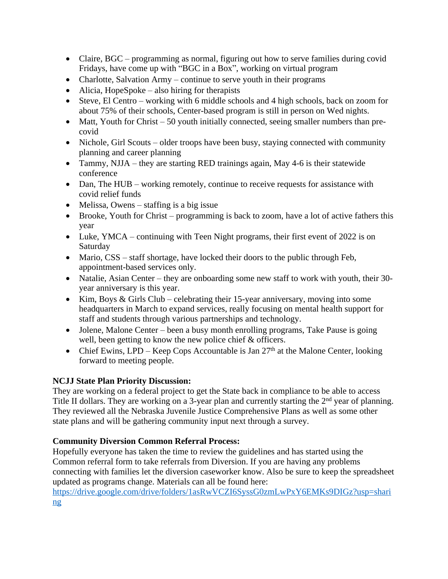- Claire, BGC programming as normal, figuring out how to serve families during covid Fridays, have come up with "BGC in a Box", working on virtual program
- Charlotte, Salvation Army continue to serve youth in their programs
- Alicia, HopeSpoke also hiring for therapists
- Steve, El Centro working with 6 middle schools and 4 high schools, back on zoom for about 75% of their schools, Center-based program is still in person on Wed nights.
- Matt, Youth for Christ  $-50$  youth initially connected, seeing smaller numbers than precovid
- Nichole, Girl Scouts older troops have been busy, staying connected with community planning and career planning
- Tammy, NJJA they are starting RED trainings again, May 4-6 is their statewide conference
- Dan, The HUB working remotely, continue to receive requests for assistance with covid relief funds
- Melissa, Owens staffing is a big issue
- Brooke, Youth for Christ programming is back to zoom, have a lot of active fathers this year
- Luke, YMCA continuing with Teen Night programs, their first event of 2022 is on Saturday
- Mario, CSS staff shortage, have locked their doors to the public through Feb, appointment-based services only.
- Natalie, Asian Center they are onboarding some new staff to work with youth, their 30year anniversary is this year.
- Kim, Boys & Girls Club celebrating their 15-year anniversary, moving into some headquarters in March to expand services, really focusing on mental health support for staff and students through various partnerships and technology.
- Jolene, Malone Center been a busy month enrolling programs, Take Pause is going well, been getting to know the new police chief & officers.
- Chief Ewins, LPD Keep Cops Accountable is Jan  $27<sup>th</sup>$  at the Malone Center, looking forward to meeting people.

# **NCJJ State Plan Priority Discussion:**

They are working on a federal project to get the State back in compliance to be able to access Title II dollars. They are working on a 3-year plan and currently starting the 2<sup>nd</sup> year of planning. They reviewed all the Nebraska Juvenile Justice Comprehensive Plans as well as some other state plans and will be gathering community input next through a survey.

# **Community Diversion Common Referral Process:**

Hopefully everyone has taken the time to review the guidelines and has started using the Common referral form to take referrals from Diversion. If you are having any problems connecting with families let the diversion caseworker know. Also be sure to keep the spreadsheet updated as programs change. Materials can all be found here:

[https://drive.google.com/drive/folders/1asRwVCZI6SyssG0zmLwPxY6EMKs9DIGz?usp=shari](https://drive.google.com/drive/folders/1asRwVCZI6SyssG0zmLwPxY6EMKs9DIGz?usp=sharing) ng